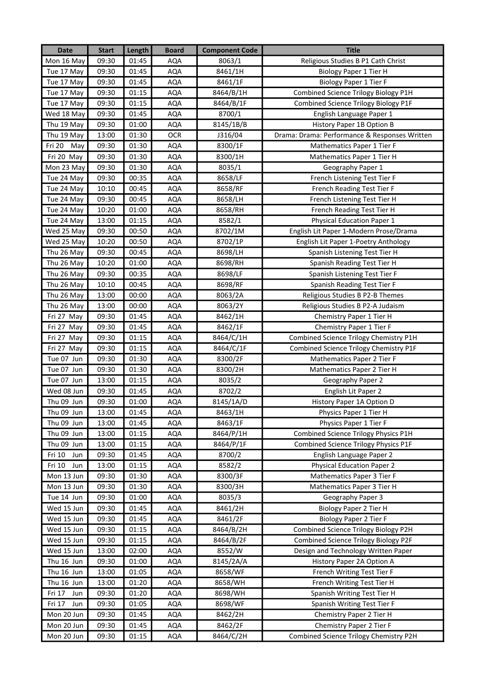| <b>Date</b>   | <b>Start</b> | Length | <b>Board</b> | <b>Component Code</b> | <b>Title</b>                                  |
|---------------|--------------|--------|--------------|-----------------------|-----------------------------------------------|
| Mon 16 May    | 09:30        | 01:45  | <b>AQA</b>   | 8063/1                | Religious Studies B P1 Cath Christ            |
| Tue 17 May    | 09:30        | 01:45  | <b>AQA</b>   | 8461/1H               | <b>Biology Paper 1 Tier H</b>                 |
| Tue 17 May    | 09:30        | 01:45  | <b>AQA</b>   | 8461/1F               | <b>Biology Paper 1 Tier F</b>                 |
| Tue 17 May    | 09:30        | 01:15  | AQA          | 8464/B/1H             | Combined Science Trilogy Biology P1H          |
| Tue 17 May    | 09:30        | 01:15  | <b>AQA</b>   | 8464/B/1F             | Combined Science Trilogy Biology P1F          |
| Wed 18 May    | 09:30        | 01:45  | AQA          | 8700/1                | English Language Paper 1                      |
| Thu 19 May    | 09:30        | 01:00  | AQA          | 8145/1B/B             | History Paper 1B Option B                     |
| Thu 19 May    | 13:00        | 01:30  | <b>OCR</b>   | J316/04               | Drama: Drama: Performance & Responses Written |
| Fri 20 May    | 09:30        | 01:30  | AQA          | 8300/1F               | Mathematics Paper 1 Tier F                    |
| Fri 20 May    | 09:30        | 01:30  | <b>AQA</b>   | 8300/1H               | Mathematics Paper 1 Tier H                    |
| Mon 23 May    | 09:30        | 01:30  | <b>AQA</b>   | 8035/1                | Geography Paper 1                             |
| Tue 24 May    | 09:30        | 00:35  | AQA          | 8658/LF               | French Listening Test Tier F                  |
| Tue 24 May    | 10:10        | 00:45  | <b>AQA</b>   | 8658/RF               | French Reading Test Tier F                    |
| Tue 24 May    | 09:30        | 00:45  | <b>AQA</b>   | 8658/LH               | French Listening Test Tier H                  |
| Tue 24 May    | 10:20        | 01:00  | <b>AQA</b>   | 8658/RH               | French Reading Test Tier H                    |
| Tue 24 May    | 13:00        | 01:15  | AQA          | 8582/1                | Physical Education Paper 1                    |
| Wed 25 May    | 09:30        | 00:50  | AQA          | 8702/1M               | English Lit Paper 1-Modern Prose/Drama        |
| Wed 25 May    | 10:20        | 00:50  | AQA          | 8702/1P               | English Lit Paper 1-Poetry Anthology          |
| Thu 26 May    | 09:30        | 00:45  | AQA          | 8698/LH               | Spanish Listening Test Tier H                 |
| Thu 26 May    | 10:20        | 01:00  | <b>AQA</b>   | 8698/RH               | Spanish Reading Test Tier H                   |
| Thu 26 May    | 09:30        | 00:35  | AQA          | 8698/LF               | Spanish Listening Test Tier F                 |
| Thu 26 May    | 10:10        | 00:45  | <b>AQA</b>   | 8698/RF               | Spanish Reading Test Tier F                   |
| Thu 26 May    | 13:00        | 00:00  | AQA          | 8063/2A               | Religious Studies B P2-B Themes               |
| Thu 26 May    | 13:00        | 00:00  | AQA          | 8063/2Y               | Religious Studies B P2-A Judaism              |
| Fri 27 May    | 09:30        | 01:45  | <b>AQA</b>   | 8462/1H               | Chemistry Paper 1 Tier H                      |
| Fri 27 May    | 09:30        | 01:45  | <b>AQA</b>   | 8462/1F               | Chemistry Paper 1 Tier F                      |
| Fri 27 May    | 09:30        | 01:15  | <b>AQA</b>   | 8464/C/1H             | Combined Science Trilogy Chemistry P1H        |
| Fri 27 May    | 09:30        | 01:15  | <b>AQA</b>   | 8464/C/1F             | Combined Science Trilogy Chemistry P1F        |
| Tue 07 Jun    | 09:30        | 01:30  | AQA          | 8300/2F               | Mathematics Paper 2 Tier F                    |
| Tue 07 Jun    | 09:30        | 01:30  | AQA          | 8300/2H               | Mathematics Paper 2 Tier H                    |
| Tue 07 Jun    | 13:00        | 01:15  | <b>AQA</b>   | 8035/2                | Geography Paper 2                             |
| Wed 08 Jun    | 09:30        | 01:45  | <b>AQA</b>   | 8702/2                | English Lit Paper 2                           |
| Thu 09 Jun    | 09:30        | 01:00  | AQA          | 8145/1A/D             | History Paper 1A Option D                     |
| Thu 09 Jun    | 13:00        | 01:45  | AQA          | 8463/1H               | Physics Paper 1 Tier H                        |
| Thu 09 Jun    | 13:00        | 01:45  | <b>AQA</b>   | 8463/1F               | Physics Paper 1 Tier F                        |
| Thu 09 Jun    | 13:00        | 01:15  | AQA          | 8464/P/1H             | Combined Science Trilogy Physics P1H          |
| Thu 09 Jun    | 13:00        | 01:15  | AQA          | 8464/P/1F             | Combined Science Trilogy Physics P1F          |
| Fri 10<br>Jun | 09:30        | 01:45  | AQA          | 8700/2                | English Language Paper 2                      |
| Fri 10<br>Jun | 13:00        | 01:15  | AQA          | 8582/2                | <b>Physical Education Paper 2</b>             |
| Mon 13 Jun    | 09:30        | 01:30  | AQA          | 8300/3F               | Mathematics Paper 3 Tier F                    |
| Mon 13 Jun    | 09:30        | 01:30  | AQA          | 8300/3H               | Mathematics Paper 3 Tier H                    |
| Tue 14 Jun    | 09:30        | 01:00  | <b>AQA</b>   | 8035/3                | Geography Paper 3                             |
| Wed 15 Jun    | 09:30        | 01:45  | AQA          | 8461/2H               | <b>Biology Paper 2 Tier H</b>                 |
| Wed 15 Jun    | 09:30        | 01:45  | AQA          | 8461/2F               | Biology Paper 2 Tier F                        |
| Wed 15 Jun    | 09:30        | 01:15  | AQA          | 8464/B/2H             | Combined Science Trilogy Biology P2H          |
| Wed 15 Jun    | 09:30        | 01:15  | AQA          | 8464/B/2F             | Combined Science Trilogy Biology P2F          |
| Wed 15 Jun    | 13:00        | 02:00  | AQA          | 8552/W                | Design and Technology Written Paper           |
| Thu 16 Jun    | 09:30        | 01:00  | AQA          | 8145/2A/A             | History Paper 2A Option A                     |
| Thu 16 Jun    | 13:00        | 01:05  | AQA          | 8658/WF               | French Writing Test Tier F                    |
| Thu 16 Jun    | 13:00        | 01:20  | AQA          | 8658/WH               | French Writing Test Tier H                    |
| Fri 17<br>Jun | 09:30        | 01:20  | AQA          | 8698/WH               | Spanish Writing Test Tier H                   |
| Fri 17<br>Jun | 09:30        | 01:05  | AQA          | 8698/WF               | Spanish Writing Test Tier F                   |
| Mon 20 Jun    | 09:30        | 01:45  | <b>AQA</b>   | 8462/2H               | Chemistry Paper 2 Tier H                      |
| Mon 20 Jun    | 09:30        | 01:45  | AQA          | 8462/2F               | Chemistry Paper 2 Tier F                      |
| Mon 20 Jun    | 09:30        | 01:15  | AQA          | 8464/C/2H             | Combined Science Trilogy Chemistry P2H        |